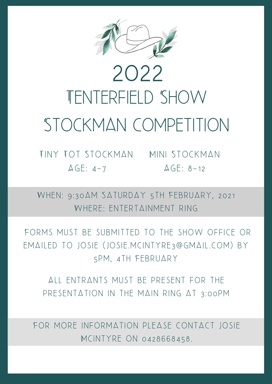

## TENTERFIELD SHOW STOCKMAN COMPETITION 2022

Tiny Tot Stockman Mini Stockman  $AGE: 4-7$ 

 $AGE: 8-12$ 

WHEN: 9:30AM SATURDAY 5TH FEBRUARY, 2021 WHERE: ENTERTAINMENT RING

FORMS MUST BE SUBMITTED TO THE SHOW OFFICE OR EMAILED TO JOSIE (JOSIE.MCINTYRE3@GMAIL.COM) BY 5pm, 4th February

ALL ENTRANTS MUST BE PRESENT FOR THE PRESENTATION IN THE MAIN RING AT 3:00 PM

FOR MORE INFORMATION PLEASE CONTACT JOSIE McIntyre on 0428668458.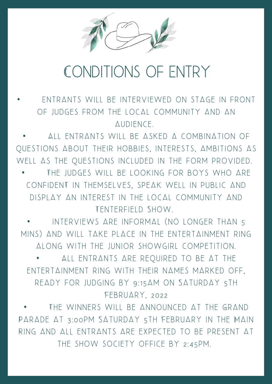

## Conditions of Entry

FNTRANTS WILL BE INTERVIEWED ON STAGE IN FRONT OF JUDGES FROM THE LOCAL COMMUNITY AND AN AUDIENCE.

• All entrants will be asked a combination of QUESTIONS ABOUT THEIR HOBBIES, INTERESTS, AMBITIONS AS WELL AS THE QUESTIONS INCLUDED IN THE FORM PROVIDED. THE JUDGES WILL BE LOOKING FOR BOYS WHO ARE CONFIDENT IN THEMSELVES, SPEAK WELL IN PUBLIC AND

di splay an intere st in the local community and TENTERFIELD SHOW.

INTERVIEWS ARE INFORMAL (NO LONGER THAN 5 mins ) and will take place in the entertainment ring along with the Junior showgirl competition.

ALL ENTRANTS ARE REQUIRED TO BE AT THE ENTERTAINMENT RING WITH THEIR NAMES MARKED OFF, READY FOR JUDGING BY 9:15AM ON SATURDAY 5TH FEBRUARY, 2022

THE WINNERS WILL BE ANNOUNCED AT THE GRAND PARADE AT 3:00PM SATURDAY 5TH FEBRUARY IN THE MAIN RING AND ALL ENTRANTS ARE EXPECTED TO BE PRESENT AT THE SHOW SOCIETY OFFICE BY 2:45PM.